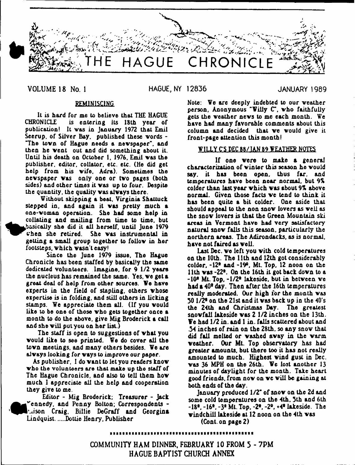

**VOLUME 18 No. 1 HAGUE, NY 12836 JANUARY 1989**

## REMINISCING

It is hard for me to believe that THE HAGUE<br>CHRONICLE is entering its 18th year of is entering its 18th year of publication! It vas in January 1972 that Emil Seerup, of Silver Bay, published these vords - "The tovn of Hague needs a nevspaper". and then he went out and did something about it. Until his death on October 1. 1976, Emil vas the publisher, editor, collator, etc. etc. (He did get help from his vife, Adra). Sometimes the nevspaper vas only one or tvo pages (both sides) and other times it vas up to four. Despite the quantity, the quality vas alvays there.

Without skipping a beat. Virginia Shattuck stepped in. and again it vas pretty much a one-voman operation. She had some help in collating and mailing from time to time, but basically she did it all herself, until June 1979  $\mathbf$ when she retired. She was instrumental in getting a small group together to follov in her footsteps, which wasn't easy!

Since the June 1979 issue, The Hague Chronicle has been staffed by basically the same dedicated volunteers. Imagine, for 9 1/2 years the nucleus has remained the same. Yes, ve get a great deal of help from other sources. We have experts in the field of stapling, others vhose expertise is in folding, and still others in licking stamps. We appreciate them all. (If you vould like to be one of those vho gels together once a month to do the above, give Mig Broderick a call and she will put you on her list.)

The staff is open to suggestions of what you vould like to see printed. We do cover all the tovn meetings, and many others besides. We are alvay9 looking for vays to improve our paper.

As publisher, I do want to let you readers know vho the volunteers are that make up the staff of The Hague Chronicle, and also to tell them hov much 1 appreciate all the help and cooperation they give to me.

Editor - Mig Broderick; Treasurer - Jack ^ ^ ^ e n n e d y , and Penny Bolton; Correspondents - Lison Craig, Billie DeGraff and Georgina Lindquist. .....Dottie Henry. Publisher

Note: We are deeply indebted to our veather person, Anonymous "Willy C", vho faithfully gets the veather nevs to me each month. We have had many favorable comments about this column and decided that we would give it front-page attention this month!

## WILLY C'S DEC 88/IAN 89 WEATHER NOTES

If one were to make a general characterization of winter this season he would say. it has been open, thus far. and temperatures have been near normal, but 9% colder than last year which was about 9% above normal. Given those facts ve tend to think it has been quite a bit colder. One aside that should appeal to the non snov lovers as veil as the snov lovers is that the Green Mountain ski areas in Vermont have had very satisfactory natural snov falls this season, particularly the northern areas. The Adirondacks, as is normal, have not faired as veil.

Last Dec. we left you with cold temperatures on the 10th. The 11th and 12th got considerably colder, \*12\* and \*19\*. Mt. Top, 12 noon on the 11th vas -22\*. On the 16th it got back dovn to a -10\* Mt. Top, -1/2\* lakeside, but in betveen ve had a 40\* day. Then after the 16th temperatures really moderated. Our high for the month vas  $50 \frac{1}{24}$  on the 21st and it was back up in the  $40 \text{ s}$ the 24th and Christmas Day. The greatest snovfall lakeside vas 2 1/2 inches on the 13th. We had 1/2 in. and 1 in. falls scattered about and .54 inches of rain on the 28th. so any snov that did fall melted or vaahed avay in the varm veather. Our Mt. Top observatory has had greater amounts, but there too it has not really amounted to much. Highest vind gust in Dec. vas 36 MPH on the 26th. We lost another 13 minutes of daylight for the month. Take heart good friends, from nov on ve v ill be gaining at both ends of the day.

January produced 1/2" of snov on the 2d and some cold temperatures on the 4th. 5th and 6th  $-18^{\circ}$ .  $-16^{\circ}$ .  $-3^{\circ}$  Mt. Top.  $-2^{\circ}$ .  $-2^{\circ}$ .  $+4^{\circ}$  lakeside. The vindchill lakeside at 12 noon on the 4th vas

(Cont. on page 2)

**COMMUNITY HAM DINNER, FEBRUARY 10 FROM 5 - 7PM HAGUE BAPTIST CHURCH ANNEX**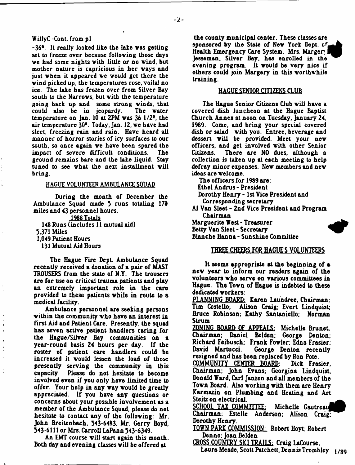## WillyC -Cont. from pi

-36°. It really looked like the lake vas getting set to freeze over because folloving those days we had some nights with little or no wind, but mother nature is capricious in her vays and just vhen it appeared ve vould get there the vind picked up, the temperatures rose, voila! no ice. The lake has frozen over from Silver Bay south to the Narrovs, but vith the temperature going back up and some strong winds, that<br>could also be in jeopardy. The water could also be in jeopardy. temperature on Jan. 10 at 2PM vas 36 1/2°, the air temperature 30<sup>o</sup>. Today, Jan. 12, we have had sleet, freezing rain and rain. Have heard all manner of horror stories of icy surfaces to our south, so once again ve have been spared the impact of severe difficult conditions. The ground remains bare and the lake liquid. Stay tuned to see what the next installment will bring.

## HAGUE VOLUNTEER AMBULANCE SQUAD

During the month of December the Ambulance Squad made 3 runs totaling 170 miles and 43 personnel hours.

1988 Totals

148 Runs (includes 11 mutual aid)

3.371 Miles

1,049 Patient Hours

131 Mutual Aid Hours

The Hague Fire Dept. Ambulance Squad recently received a donation of a pair of MAST TROUSERS from the state of N.Y. The trousers are for use on critical trauma patients and play an extremely important role in the care provided to these patients vhile in route to a medical facility.

Ambulance personnel are seeking persons vithin the community vho have an interest in first Aid and Patient Care. Presently, the squad has seven active patient handlers caring for the Hague/Silver Bay communities on a year-round basis 24 hours per day. If the roster of patient care handlers could be increased it vould lessen the load of those presently serving the community in this capacity. Please do not hesitate to become involved even if you only have limited time to offer. Your help in any vay vould be greatly appreciated. If you have any questions or concerns about your possible involvement as a member of the Ambulance Squad, please do not hesitate to contact any of the folloving: Mr. John Breitenbach, 343-6483, Mr. Gerry Boyd, 343-6111 or Mrs. Carroll LaPann 343-6349.

An EMT course vill start again this month. Both day and evening classes vill be offered at

the county municipal center. These classes are sponsored by the State of New York Dept, of, Health Emergency Care System. Mrs. Marger. Jesseman. Silver Bay, has enrolled in the evening program. It vould be very nice if others could join Margery in this vorthvhile training.

#### HAGUE SENIOR CITIZENS CLUB

The Hague Senior Citizens Club vill have a covered dish luncheon at the Hague Baptist Church Annex at noon on Tuesday, January 24, 1989. Come, and bring your special covered dish or salad vith you. Entree, beverage and dessert will be provided. Meet your new officers, and get involved vith other Senior Citizens. There are NO dues, although a collection is taken up at each meeting to help defray minor expenses. Nev members and nev ideas are velcome.

The officers for 1989 are:

Ethel Andrus - President

Dorothy Henry - 1st Vice President and Corresponding secretary

A1 Van Sleet - 2nd Vice President and Program Chairman

Marguerite Vest - Treasurer ^

Betty Van Sleet - Secretary ^

Blanche Hanna - Sunshine Committee

## THREE CHEERS FOR HAGUE'S VOLUNTEERS

It seems appropriate at the beginning of a new year to inform our readers again of the volunteers vho serve on various committees in Hague. The Tovn of Hague is indebted to these dedicated vorkers:

PLANNING BOARD: Karen Laundree, Chairman: Tim Costello; Alison Craig; Evert Lindquist; Bruce Robinson: Kathy SantanieUo; Norman Strum

ZONING BOARD OF APPEALS: Michelle Brunet. Chairman; Daniel Belden; George Denton; Richard Feibusch; Frank Fovler; Edna Frasier: George Denton recently resigned and has been replaced by Ron Pote.<br>COMMUNITY CENTER BOARD: Dick Frasier.

<u>COMMUNITY CENTER BOARD:</u> Chairman; John Evans; Georgina Lindquist, Donald Ward, Carl Janzen and all members of the Tovn Board. Also vorking vith them are Henry Karmazin on Plumbing and Heating and Art Steitz on electrical.

SCHOOL TAX COMMITTEE: Michelle Gautreau Chairman; Estelle Anderson: Alison Craig; Dorothy Henry.

TOVN PARK COMMISSION: Robert Hoyt; Robert Denno; Joan Belden

CROSS COUNTRY SKI TRAILS: Craig LaCourse.

Laura Meade, Scott Patchett, Dennis Trombley 1/89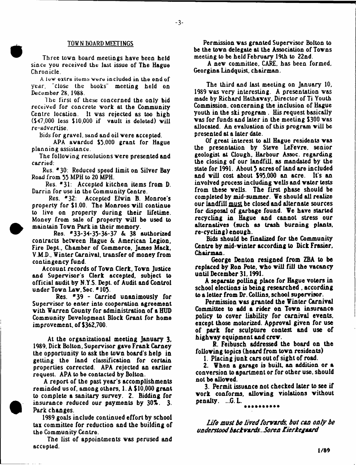#### TOW N BOARD MEETINGS

Three tovn board meetings have been held since you received the last issue of The Hague Chronicle.

A low extra items were included in the end of year, "close the books" meeting held on December 28, 1988.

The first of these concerned the only bid received for concrete work at the Community Centre location. It vas rejected as too high  $(547,000$  less  $$10,000$  if vault is deleted) will re-ad vertise.

Bids for gravel, sand and oil vere accepted.

APA avarded \$3,000 grant for Hague planning assistance.

The folloving resolutions vere presented and carried:

Res. \*30: Reduced speed limit on Silver Bay Road from 35 MPH to 20 MPH.

Res. \*31: Accepted kitchen items from D. Darrin for use in the Community Centre.

Res. \*32: Accepted Elvin B. Monroe's property for \$1.00. The Monroes will continue to live on property during their lifetime. Money from sale of property vill be used to maintain Tovn Park in their memory.

Res. \*33-34-35-36-37 & 38 authorized contracts betveen Hague & American Legion, Fire Dept., Chamber of Commerce, James Mack. V.M.D., Winter Carnival, transfer of money from contingency fund.

Account records of Tovn Clerk, Tovn Justice and Supervisor's Clerk accepted, subject to official audit by N.Y S. Dept, of Audit and Control under Town Law, Sec. \* 105.

Res. \*39 - Carried unanimously for Supervisor to enter into cooperation agreement vith Warren County for administration of a HUD Community Development Block Grant for home improvement, of \$362,700.

At the organizational meeting January 3. 1989, Dick Bolton, Supervisor gave Frank Carney the opportunity to ask the town board's help in getting the land classification for certain properties corrected. APA rejected an earlier request. APA to be contacted by Bolton.

A report of the past year's accomplishments reminded us of, among others. 1. A \$10,000 grant to complete a sanitary survey. 2. Bidding for insurance reduced our payments by  $30\%$ . 3. Park changes.

1989 goals include continued effort by school tax committee for reduction and the building of the Community Centre.

The list of appointments vas perused and accepted.

Permission vas granted Supervisor Bolton to be the tovn delegate at the Association of Tovns meeting to be held February 19th to 22nd.

A nev committee. CARE, has been formed. Georgina Lindquist, chairman.

The third and last meeting on January 10, 1989 vas very interesting. A presentation vas made by Richard Hathavay. Director of Ti Youth Commission, concerning the inclusion of Hague youth in the ski program . His request basically vas for funds and later in the meeting \$300 vas allocated. An evaluation of this program vill be presented at a later date.

Of great interest to all Hague residents vas the presentation by Steve LeFevre. senior geologist at Clough, Harbour Assoc, regarding the closing of our landfill, as mandated by the state for 1991. About 3 acres of land are included and vill cost about \$93,000 an acre. It's an involved process including veils and vater tests from these veils. The first phase should be completed by mid-summer. We should all realize our landfill must be closed and alternate sources for disposal of garbage found. We have started recycling in Hague and cannot stress our alternatives (such as trash burning plants, re-cycling) enough.

Bids should be finalized for the Community Centre by mid-vinter according to Dick Frasier, Chairman.

George Denton resigned from ZBA to be replaced by Ron Pote, vho vill fill the vacancy until December 31,1991.

A separate polling place for Hague voters in school elections is being researched . according to a letter from Dr. Collins, school supervisor.

Permission vas granted the Winter Carnival Committee to add a rider on Tovn insurance policy to cover liability for carnival events, except those motorized. Approval given for use of park for sculpture contest and use of highvay equipment and crev.

R. Feibusch addressed the board on the folloving topics (heard from tovn residents)

1. Placing junk cars out of sight of road.

2. When **a** garage is built, an addition or a conversion to apartment or for other use, should not bo alloved.

3. Permit issuance not checked later to see if vork conforms, alloving violations vithout penalty. ...G. L. ----------

*Life must be lived forvards, but can only be understood backvards.. Soren Kierkegaard*

**1/89**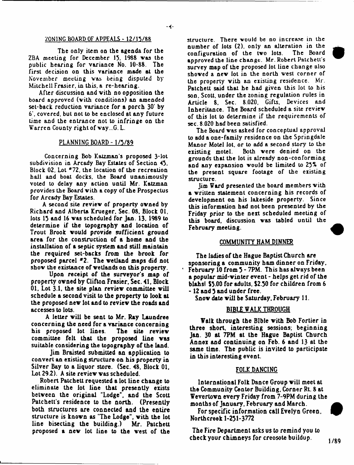#### ZONING BOARD OF APPEALS - 12/15/88

 $-4-$ 

The oaly item on the agenda for the ZBA meeting for December 15. 1988 vas the public hearing for variance No. 10-88. The first decision on this variance made at the November meeting vas being disputed by Mitchell Frasier, in this, a re-hearing.

After discussion and vith no opposition the board approved (vith conditions) an amended set-back reduction variance for a porch 30' by 6', covered, but not to be enclosed at any future lime and the entrance not to infringe on the Warren County right of way...G. L.

## PLANNING BOARD - 1/5/89

Concerning Bob Katzman's proposed 3~lot subdivision in Arcady Bay Estates of Section 45, Block 02, Lot \*72, the location of the recreation hail and boat docks, the Board unanimously voted to delay any action until Mr. Katzman provides the Board vith a copy of the Prospectus for Arcady Bay Estates.

A second site reviev of property ovned by Richard and Alberta Krueger, Sec. 08. Block 01, lots 15 and 16 was scheduled for lan. 13, 1989 to determine if the topography and location of Trout Brook vould provide sufficient ground area for the construction of a home and the installation of a septic system and still maintain the required set-backs from the brook for proposed parcel #2. The wetland maps did not shov the existance of vetlands on this property.

Upon receipt of the surveyor's map of property ovned by Clifton Frasier, Sec. 41. Block 01. Lot 3.1. the site plan reviev committee vill schedule a second visit to the property to look at the proposed nev lot and to reviev the roads and accesses to lots.

A letter vill be sent to Mr, Ray Laundree concerning the need for a variance concerning<br>his proposed lot lines. The site review his proposed lot lines. committee felt that the proposed line vas suitable considering the topography of the land.

Jim Braisted submitted an application to convert an existing structure on his property in Silver Bay to a liquor store. (Sec. 48. Block 01, Lot 29.2). A site reviev vas scheduled.

Robert Palchett requested a lot line change to eliminate the lot line that presently exists betveen the original "Lodge", and the Scott Patchett's residence to the north. (Presently both structures are connected and the entire structure is known as "The Lodge", with the lot line bisecting the building.) Mr. Palchett proposed a nev lot line to the vest of the

structure. There vould be no increase in the number of lots (2), only an alteration in the<br>configuration of the two lots. The Board configuration of the two lots. approved the line change. Mr. Robert Patchett's survey map of the proposed lot line change also shoved a nev lot in the north vest corner of the property with an existing residence. Mr. Palchett said that he had given this lot to his son. Scott, under the zoning regulation rules in Article 8, Sec. 8.020, Gifts, Devices and Inheritance. The Board scheduled a site reviev of this lot to determine if the requirements of sec. 8.020 had been satisfied.

The Board vas asked for conceptual approval to add a one-family residence on the Springdale Manor Motel lot, or to add a second story to the Both were denied on the grounds that the lot is already non-conforming and any expansion vould be limited to 25% of the present square footage of the existing structure.

Jim Ward presented the board members vith & vritten statement concerning his records of development on his lakeside property. Since this information had not been presented by the Friday prior to the next scheduled meeting of this board, discussion vas tabled until the February meeting.

#### COMMUNITY HAM DINNER

The ladies of the Hague Baptist Church are sponsoring a community ham dinner on Friday. February 10 from 5 - 7PM. This has always been a popular mid-vinter event - helps get rid of the blahsl \$5.00 for adults, \$2.50 for children from 6 - 12 and 5 and under free.

Snov date vill be Saturday. February 11.

## BIBLE VALK THROUGH

Walk through the Bible vith Bob Fortier in three short, interesting sessions; beginning Jan. 30 at 7PM at the Hague Baptist Church Annex and continuing on Feb. 6 and 13 at the same time. The public is invited to participate in this interesting event.

## FOLK DANCING

International Folk Dance Group vill meet at the Community Center Building, Corner Rt. 8 at Wevertovn every Friday from 7-9PM during the months of January, February and March.

For specific information call Evelyn Green, Northcreek 1-251-3772

The Fire Department asks us to remind you to check your chimneys for creosote buildup.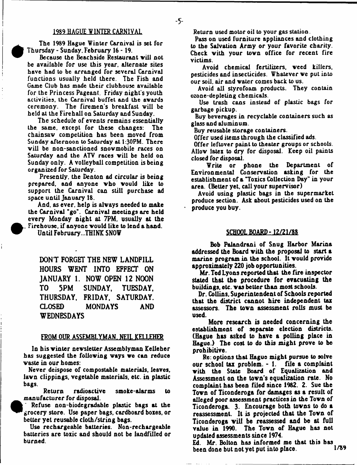## 1989 HAGUE WINTER CARNIVAL

The 1989 Hague Winter Carnival is set for Thursday - Sunday. February 16 -19.

Because the Beachside Restaurant vill not be available for use this year, alternate sites have had to be arranged for several Carnival functions usually held there. The Fish and Game Club has made their clubhouse available for the Princess Pageant. Friday night's youth activities, the Carnival buffet and the avards ceremony. The firemen's breakfast will be held at the Firehall on Saturday and Sunday.

The schedule of events remains essentially the same, except for these changes: The chainsav competition has been moved from Sunday afternoon to Saturday at 1:30PM. There will be non-sanctioned snowmobile races on Saturday and the ATV races vill be held on Sunday only. A volleyball competition is being organized for Saturday.

Presently, the Denton ad circular is being prepared, and anyone vho vould like to support the Carnival can still purchase ad space until January 18.

And. as ever, help is aivays needed to make the Carnival "go". Carnival meetings are held every Monday night at 7PM, usually at the Firehouse, if anyone would like to lend a hand. Until February,..THINK SNOW

**DON'T FORGET THE NEW LANDFILL HOURS WENT INTO EFFECT ON JANUARY 1. NOW OPEN 12 NOON TO 5PM SUNDAY, TUESDAY, THURSDAY, FRIDAY, SATURDAY. CLOSED MONDAYS AND WEDNESDAYS**

## FROM OUR ASSEMBLYMAN, NEIL KELLEHER

In his vinter newsletter Assemblyman Kelleher has suggested the folloving ways ve can reduce waste in our homes:

Never deispose of compostable materials, leaves, lawn clippings, vegetable materials, etc. in plastic bags.

Return radioactive smoke-alarms to manufacturer for disposal.

Refuse non-biodegradable plastic bags at the grocery store. Use paper bags, cardboard boxes, or better yet reusable cloth /string bags.

Use rechargeable batteries. Non-rechargeable batteries are toxic and should not be landfilled or burned.

Return used motor oil to your gas station.

-5-

Pass on used furniture appliances and clothing to the Salvation Army or your favorite charity. Check with your town office for recent fire victims.

Avoid chemical fertilizers, weed killers, pesticides and insecticides. Whatever we put into our soil, air and water comes back to us.

Avoid all styrofoam products. They contain ozone-depleting chemicals.

Use trash cans instead of plastic bags for garbage pickup.

Buy beverages in recyclable containers such as glass and aluminum.

Buy reusable storage containers.

Offer used items through the classified ads.

Offer leftover paint to theater groups or schools. Allow latex to dry for disposal. Keep oil paints closed for disposal.

Write or phone the Department of Environmental Conservation asking for the establishment of a "Toxics Collection Day" in your area. (Better yet. call your supervisor)

Avoid using plastic bags in the supermarket produce section. Ask about pesticides used on the produce you buy.

### SCHOOL BOARD-12/21/88

Bob Palandrani of Snug Harbor Marina addressed the Board with the proposal to start a marine program in the school. It vould provide approximately 220 job opportunities.

Mr. Ted Lyons reported that the fire inspector stated that the procedure for evacuating the buildings, etc. vas better than most schools.

Dr. Collins, Superintendent of Schools reported that the district cannot hire independent tax assessors. The tovn assessment rolls must be used.

More research is needed concerning the establishment of separate election districts. (Hague has asked to have a polling place in Hague.) The cost to do this might prove to be prohibitive.

Re: options that Hague might pursue to solve our school tax problem. - 1. file a complaint with the State Board of Equalization and Assessment on the town's equalization rate. No complaint has been filed since 1982. 2. Sue the Tovn of Ticonderoga for damages as a result of alleged poor assessment practices in the Tovn of Ticonderoga. 3. Encourage both towns to do a reassessment. It is projected that the Tovn of Ticonderoga will be reassessed and be at full value in 1990. The Tovn of Hague has not updated assessments since 1974.

 $\overline{Ed}$ . Mr. Bolton has informed me that this has heen done but not yet put into place  $1/89$ been done but not yet put into place.

 $\bullet$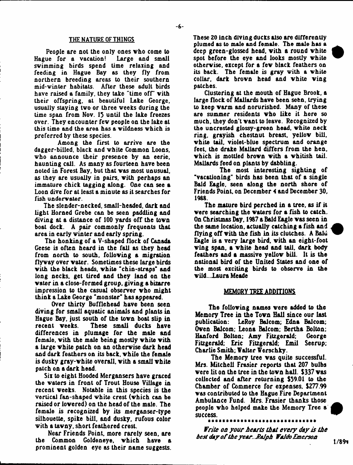#### THE NATURE OF THINGS

People are not the only ones vho come to Hague for a vacation! Large and small swimming birds spend time relaxing and feeding in Hague Bay as they fly from northern breeding areas to their southern mid-winter habitats. After these adult birds have raised a family, they take "time off" vith their offspring, at beautiful Lake George, usually staying tvo or three veeks during the time span from Nov. 13 until the lake freezes over. They encounter fev people on the lake at this time and the area has & vildness vhich is preferred by these species.

Among the first to arrive are the dagger-billed, black and vhite Common Loons, vho announce their presence by an eerie, haunting call. As many as fourteen have been noted in Forest Bay, but that vas most unusual, as they are usually in pairs, vith perhaps an immature chick tagging along. One can see a Loon dive for at least a minute as it searches for fish underwater.

The slender-necked, small-headed, dark and light Horned Grebe can be seen paddling and diving at a distance of 100 yards off the tovn boat dock. A pair commonly frequents that area in early vin ter and early spring.

The honking of a V-shaped Hock of Canada Geese is often heard in the fall as they head from north to south, folloving a migration flyvay over vater. Sometimes these large birds vith the black heads, vhite "chin-straps" and long necks, get tired and they land on the vater in a close-formed group, giving a bizarre impression to the casual observer vho might think a Lake George "monster" has appeared.

Over thirty Bufflehead have been seen diving for small aquatic animals and plants in Hague Bay. just south of the tovn boat slip in recent veeks. These small ducks have differences in plumage for the male and female, vith the male being mostly vhite vith a large vhite patch on an othervise dark head and dark feathers on its back, vhile the female is dusky gray-vhite overall, vith a small vhite patch on a dark head.

Six to eight Hooded Mergansers have graced the vaters in front of Trout House ViUage in recent veeks. Notable in this species is the vertical fan-shaped vhite crest (vhich can be raised or lovered) on the head of the male. The female is recognized by its merganser-type silhouette, spike bill, and dusky, rufous color vith a tavny. short feathered crest.

Near Friends Point, more rarely seen, are the Common Goldeneye, vhich have a prominent golden eye as their name suggests. These ZO inch diving ducks also are differently plumed as to male and female. The male has a deep green-glossed head, vith a round vhite spot before the eye and looks mostly vhite othervise. except for a fev black feathers on its back. The female is gray with a white collar, dark brovn head and vhite ving patches.

Clustering at the mouth of Hague Brook, a large flock of Mallards have been seen, trying to keep varm and norurished. Many of these are summer residents vho like it here so much, they don't want to leave. Recognized by the uncrested glossy-green head, vhite neck ring, grayish chestnut breast, yellov bill, vhite tail, violet-blue spectrum and orange feet, the drake Mallard differs from the hen, vhich is mottled brovn vith **a** vhitish tail. Mallards feed on plants by dabbling.

The most interesting sighting of "vacationing" birds has been that of a single Bald Eagle, seen along the north shore of Friends Point, on December 4 and December 30, 1988.

The mature bird perched in **a** tree, as if it vere searching the vaters for **a** fish to catch. On Christmas Day, 1987 a Bald Eagle vas seen in the same location, actually catching a fish and flying off vith the fish in its clutches. A Bald Eagle is **a** very large bird, vith an eight-foot ving span, a vhite head and tail, dark body feathers and a massive yellov bill. It is the national bird of the United States and one of the most exciting birds to observe in the vild...laura Meade

#### MEMORY TREE ADDITIONS

The folloving names vere added to the Memory Tree in the Tovn Hall since our last publication: LeRoy Balcom; Edna Balcom; Oven Balcom: Leona Balcom: Bertha Bolton: Hanford Bolton; Amy Fitzgerald; George Fitzgerald; Eric Fitzgerald; Emil Seerup; Charlie Smith; Valter Verschky.

The Memory tree vas quite successful. Mrs. Mitchell Frasier reports that 207 bulbs vere lit on the tree in the tovn haU. \$337 vas coUected and after returning \$39.01 to the Chamber of Commerce for expenses, \$277.99 vas contributed to the Hague Fire Department Ambulance Fund. Mrs. Frasier thanks those people vho helped make the Memory Tree a success.

*Write on your hearts that every day is the best day o f the year*.. *E&Jph Waldo Emerson*

\*\*\*\*\*\*

 $1/89$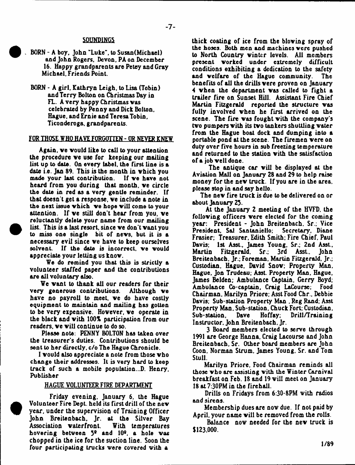# -7-

#### **SOUNDINGS**

- . BORN A boy, John "Luke", to Susan(Michael) and John Rogers, Devon, PA on December 16. Happy grandparents are Petey and Gray Michael, Friends Point.
- BORN A girl. Kathryn Leigh, to Lisa (Tobin) and Terry Bolton on Christmas Day in FL. A very happy Christmas vas celebrated by Penny and Dick Bolton, Hague, and Irnie and Teresa Tobin, Ticonderoga, grandparents.

## FOR THOSE WHO HAVE FORGOTTEN - OR NEVER KNEW

Again, ve vould like to call to your attention the procedure ve use for keeping our mailing list up to date. On every label, the first line is a date i.e. Jan 89. This is the month in vhich you made your last contribution. If ve have not heard from you during that month, ve circle the date in red as a very gentle reminder. If that doesn't get **a** response, ve include a note in the next issue which we hope will come to your attention. If we still don't hear from you, we reluctantly delete your name from our mailing list. This is a last resort, since ve don't vant you to miss one single bit of nevs, but it is a necessary evil since we have to keep ourselves<br>solvent. If the date is incorrect, we would If the date is incorrect, we would appreciate your letting us knov.

We do remind you that this is strictly a volunteer staffed paper and the contributions are all voluntary also.

•

**•** 

We want to thank all our readers for their very generous contributions. Although ve have no payroll to meet, we do have costly equipment to maintain and mailing has gotten to be very expensive. Hovever, ve operate in the black and vith 100% participation from our readers, ve vill continue to do so.

Please note: PENNY BOLTON has taken over the treasurer's duties. Contributions should be sent to her directly, c/o The Hague Chronicle.

I vould also appreciate a note from those vho change their addresses. It is very hard to keep track of such a mobile population...D. Henry, Publisher

#### HAGUE VOLUNTEER FIRE DEPARTMENT

Friday evening, January 6, the Hague Volunteer Fire Dept, held its first drill of the nev year, under the supervision of Training Officer John Breitenbach, Jr. at the Silver Bay Association vaterfront. With temperatures hovering between 5° and 10°. a hole vas chopped in the ice for the suction line. Soon the four participating trucks were covered with a

thick coating of ice from the bloving spray of the hoses. Both men and machines vere pushed to North Country winter levels. All members present vorked under extremely difficult conditions exhibiting a dedication to the safety and welfare of the Hague community. benefits of aU the drills vere proven on January 4 when the department was called to fight a trailer fire on Sunset Hill. Assistant Fire Chief Martin Fitzgerald reported the structure vas fully involved vhen he first arrived on the scene. The fire vas fought vith the company's tvo pumpers vith its tvo tankers shuttling vater from the Hague boat dock and dumping into a portable pond at the scene. The firemen vere on duty over five hours in sub freezing temperature and returned to the station vith the satisfaction of a job veil done.

The antique car viU be displayed at the Aviation Mall on January 28 and 29 to help raise money for the nev truck. If you are in the area, please stop in and say hello.

The nev fire truck is due to be delivered on or about January 23.

At the January 2 meeting of the HVFD, the folloving officers vere elected for the coming year: President - John Breitenbach, Sr.; Vice<br>President, Sal Santaniello: Secretary, Diane President, Sal Santaniello; Frasier; Treasurer, Edith Smith; Fire Chief. Paul Davis; 1st Asst., James Young, Sr.; 2nd Asst.,<br>Martin Fitzgerald. Sr.: 3rd Asst.. John Fitzgerald. Sr.; 3rd Asst., Breitenbach. Jr.; Foreman. Martin Fitzgerald, Jr.; Custodian, Hague. David Snov; Property Man. Hague. Jon Trudeau; Asst. Property Man, Hague, James Belden; Ambulance Captain, Gerry Boyd; Ambulance Co-captain, Craig LaCourse; Food Chairman. Marilyn Priore; Asst Food Chr., Debbie Davis; Sub-station Property Man . Reg Rand; Asst Property Man. Sub-station, Chuck Fort; Custodian, Drill/Training Instructor. John Breitenbach. Jr.

3 Board members elected to serve through 1991 are George Hanna. Craig Lacourse and John Breitenbach, Sr. Other board members are John Coon. Norman Strum, James Young. Sr. and Tom Stull.

Marilyn Priore. Food Chairman reminds all those vho are assisting vith the Winter Carnival breakfast on Feb. 18 and 19 vill meet on January 18 at 7:30PM in the firehall.

Drills on Fridays from 6:30-8PM vith radios and sirens.

Membership dues are nov due. If not paid by April, your name vill be removed from the rolls.

Balance nov needed for the nev truck is \$123,000.